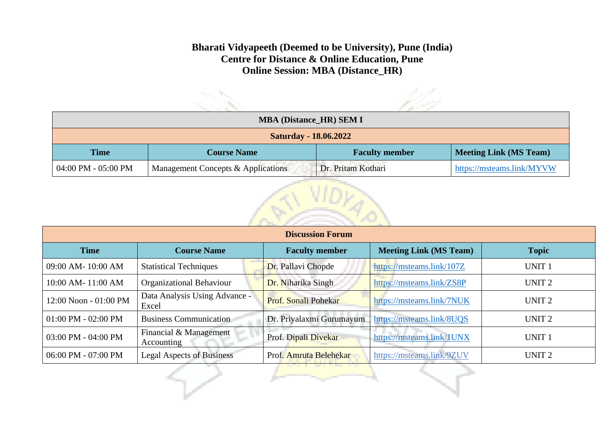## **Bharati Vidyapeeth (Deemed to be University), Pune (India) Centre for Distance & Online Education, Pune Online Session: MBA (Distance\_HR)**

| <b>MBA (Distance_HR) SEM I</b> |                                    |                       |                               |  |  |
|--------------------------------|------------------------------------|-----------------------|-------------------------------|--|--|
| <b>Saturday - 18.06.2022</b>   |                                    |                       |                               |  |  |
| <b>Time</b>                    | <b>Course Name</b>                 | <b>Faculty member</b> | <b>Meeting Link (MS Team)</b> |  |  |
| 04:00 PM - 05:00 PM            | Management Concepts & Applications | Dr. Pritam Kothari    | https://msteams.link/MYVW     |  |  |



| <b>Discussion Forum</b> |                                        |                          |                               |                   |  |
|-------------------------|----------------------------------------|--------------------------|-------------------------------|-------------------|--|
| <b>Time</b>             | <b>Course Name</b>                     | <b>Faculty member</b>    | <b>Meeting Link (MS Team)</b> | <b>Topic</b>      |  |
| 09:00 AM-10:00 AM       | <b>Statistical Techniques</b>          | Dr. Pallavi Chopde       | https://msteams.link/107Z     | <b>UNIT1</b>      |  |
| 10:00 AM-11:00 AM       | <b>Organizational Behaviour</b>        | Dr. Niharika Singh       | https://msteams.link/ZS8P     | UNIT <sub>2</sub> |  |
| 12:00 Noon - 01:00 PM   | Data Analysis Using Advance -<br>Excel | Prof. Sonali Pohekar     | https://msteams.link/7NUK     | UNIT <sub>2</sub> |  |
| $01:00$ PM - $02:00$ PM | <b>Business Communication</b>          | Dr. Priyalaxmi Gurumayum | https://msteams.link/8UQS     | UNIT <sub>2</sub> |  |
| 03:00 PM - 04:00 PM     | Financial & Management<br>Accounting   | Prof. Dipali Divekar     | https://msteams.link/1UNX     | <b>UNIT1</b>      |  |
| 06:00 PM - 07:00 PM     | <b>Legal Aspects of Business</b>       | Prof. Amruta Belehekar   | https://msteams.link/9ZUV     | UNIT <sub>2</sub> |  |
|                         |                                        | <b>Contractor</b>        |                               |                   |  |